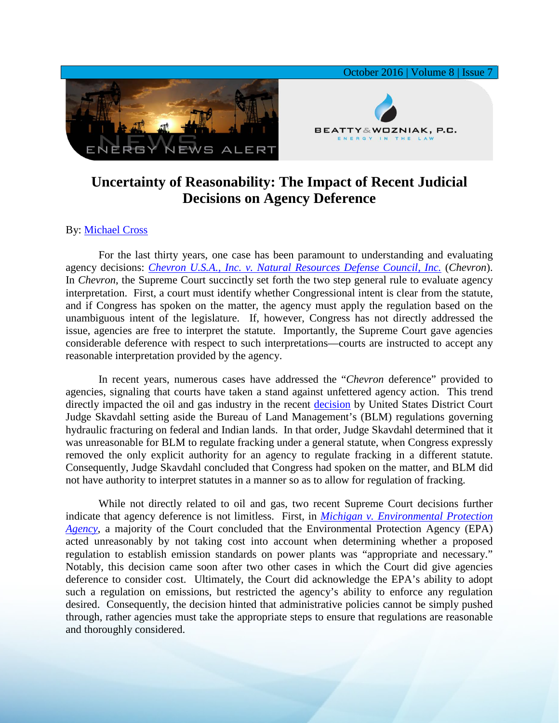

## **Uncertainty of Reasonability: The Impact of Recent Judicial Decisions on Agency Deference**

## By: [Michael Cross](http://www.bwenergylaw.com/michael-cross)

For the last thirty years, one case has been paramount to understanding and evaluating agency decisions: *[Chevron U.S.A., Inc. v. Natural Resources Defense Council, Inc.](https://www.law.cornell.edu/supremecourt/text/467/837)* (*Chevron*). In *Chevron*, the Supreme Court succinctly set forth the two step general rule to evaluate agency interpretation. First, a court must identify whether Congressional intent is clear from the statute, and if Congress has spoken on the matter, the agency must apply the regulation based on the unambiguous intent of the legislature. If, however, Congress has not directly addressed the issue, agencies are free to interpret the statute. Importantly, the Supreme Court gave agencies considerable deference with respect to such interpretations—courts are instructed to accept any reasonable interpretation provided by the agency.

In recent years, numerous cases have addressed the "*Chevron* deference" provided to agencies, signaling that courts have taken a stand against unfettered agency action. This trend directly impacted the oil and gas industry in the recent [decision](http://www.wyd.uscourts.gov/pdfforms/orders/15-cv-043-S%20Order.pdf) by United States District Court Judge Skavdahl setting aside the Bureau of Land Management's (BLM) regulations governing hydraulic fracturing on federal and Indian lands. In that order, Judge Skavdahl determined that it was unreasonable for BLM to regulate fracking under a general statute, when Congress expressly removed the only explicit authority for an agency to regulate fracking in a different statute. Consequently, Judge Skavdahl concluded that Congress had spoken on the matter, and BLM did not have authority to interpret statutes in a manner so as to allow for regulation of fracking.

While not directly related to oil and gas, two recent Supreme Court decisions further indicate that agency deference is not limitless. First, in *[Michigan v. Environmental Protection](https://www.supremecourt.gov/opinions/14pdf/14-46_bqmc.pdf)  [Agency](https://www.supremecourt.gov/opinions/14pdf/14-46_bqmc.pdf)*, a majority of the Court concluded that the Environmental Protection Agency (EPA) acted unreasonably by not taking cost into account when determining whether a proposed regulation to establish emission standards on power plants was "appropriate and necessary." Notably, this decision came soon after two other cases in which the Court did give agencies deference to consider cost. Ultimately, the Court did acknowledge the EPA's ability to adopt such a regulation on emissions, but restricted the agency's ability to enforce any regulation desired. Consequently, the decision hinted that administrative policies cannot be simply pushed through, rather agencies must take the appropriate steps to ensure that regulations are reasonable and thoroughly considered.